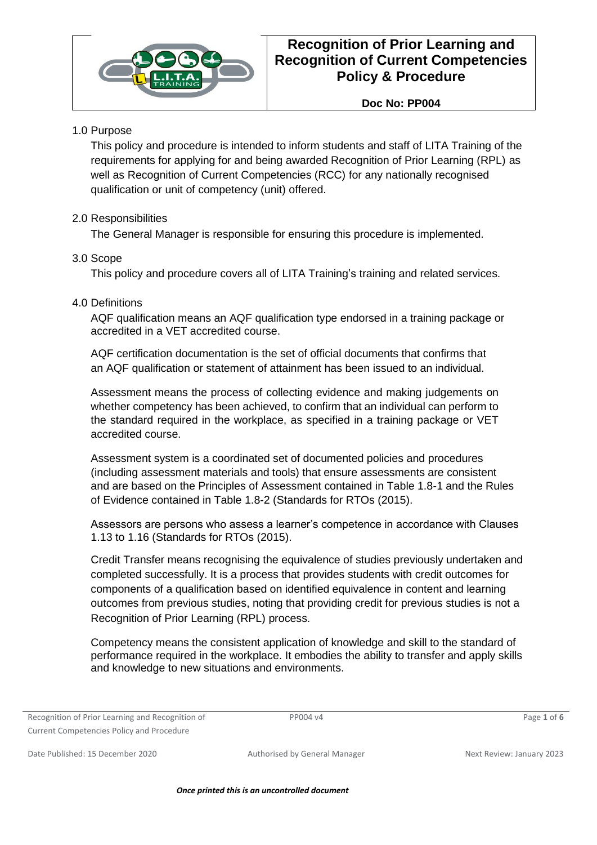

**Doc No: PP004**

### 1.0 Purpose

This policy and procedure is intended to inform students and staff of LITA Training of the requirements for applying for and being awarded Recognition of Prior Learning (RPL) as well as Recognition of Current Competencies (RCC) for any nationally recognised qualification or unit of competency (unit) offered.

### 2.0 Responsibilities

The General Manager is responsible for ensuring this procedure is implemented.

### 3.0 Scope

This policy and procedure covers all of LITA Training's training and related services.

### 4.0 Definitions

AQF qualification means an AQF qualification type endorsed in a training package or accredited in a VET accredited course.

AQF certification documentation is the set of official documents that confirms that an AQF qualification or statement of attainment has been issued to an individual.

Assessment means the process of collecting evidence and making judgements on whether competency has been achieved, to confirm that an individual can perform to the standard required in the workplace, as specified in a training package or VET accredited course.

Assessment system is a coordinated set of documented policies and procedures (including assessment materials and tools) that ensure assessments are consistent and are based on the Principles of Assessment contained in Table 1.8-1 and the Rules of Evidence contained in Table 1.8-2 (Standards for RTOs (2015).

Assessors are persons who assess a learner's competence in accordance with Clauses 1.13 to 1.16 (Standards for RTOs (2015).

Credit Transfer means recognising the equivalence of studies previously undertaken and completed successfully. It is a process that provides students with credit outcomes for components of a qualification based on identified equivalence in content and learning outcomes from previous studies, noting that providing credit for previous studies is not a Recognition of Prior Learning (RPL) process.

Competency means the consistent application of knowledge and skill to the standard of performance required in the workplace. It embodies the ability to transfer and apply skills and knowledge to new situations and environments.

|  |  | Recognition of Prior Learning and Recognition of |  |
|--|--|--------------------------------------------------|--|
|  |  | <b>Current Competencies Policy and Procedure</b> |  |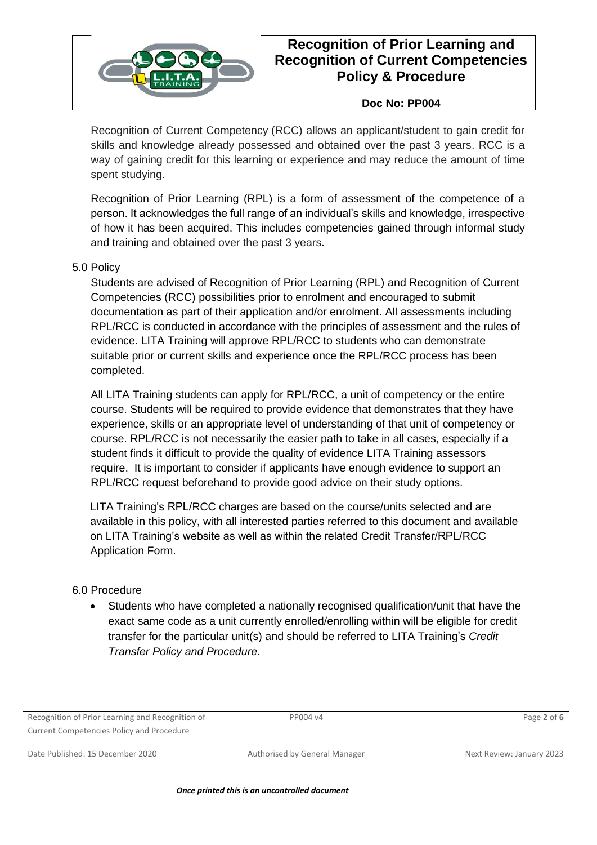

#### **Doc No: PP004**

Recognition of Current Competency (RCC) allows an applicant/student to gain credit for skills and knowledge already possessed and obtained over the past 3 years. RCC is a way of gaining credit for this learning or experience and may reduce the amount of time spent studying.

Recognition of Prior Learning (RPL) is a form of assessment of the competence of a person. It acknowledges the full range of an individual's skills and knowledge, irrespective of how it has been acquired. This includes competencies gained through informal study and training and obtained over the past 3 years.

#### 5.0 Policy

Students are advised of Recognition of Prior Learning (RPL) and Recognition of Current Competencies (RCC) possibilities prior to enrolment and encouraged to submit documentation as part of their application and/or enrolment. All assessments including RPL/RCC is conducted in accordance with the principles of assessment and the rules of evidence. LITA Training will approve RPL/RCC to students who can demonstrate suitable prior or current skills and experience once the RPL/RCC process has been completed.

All LITA Training students can apply for RPL/RCC, a unit of competency or the entire course. Students will be required to provide evidence that demonstrates that they have experience, skills or an appropriate level of understanding of that unit of competency or course. RPL/RCC is not necessarily the easier path to take in all cases, especially if a student finds it difficult to provide the quality of evidence LITA Training assessors require. It is important to consider if applicants have enough evidence to support an RPL/RCC request beforehand to provide good advice on their study options.

LITA Training's RPL/RCC charges are based on the course/units selected and are available in this policy, with all interested parties referred to this document and available on LITA Training's website as well as within the related Credit Transfer/RPL/RCC Application Form.

#### 6.0 Procedure

• Students who have completed a nationally recognised qualification/unit that have the exact same code as a unit currently enrolled/enrolling within will be eligible for credit transfer for the particular unit(s) and should be referred to LITA Training's *Credit Transfer Policy and Procedure*.

Recognition of Prior Learning and Recognition of Current Competencies Policy and Procedure

PP004 v4 Page **2** of **6**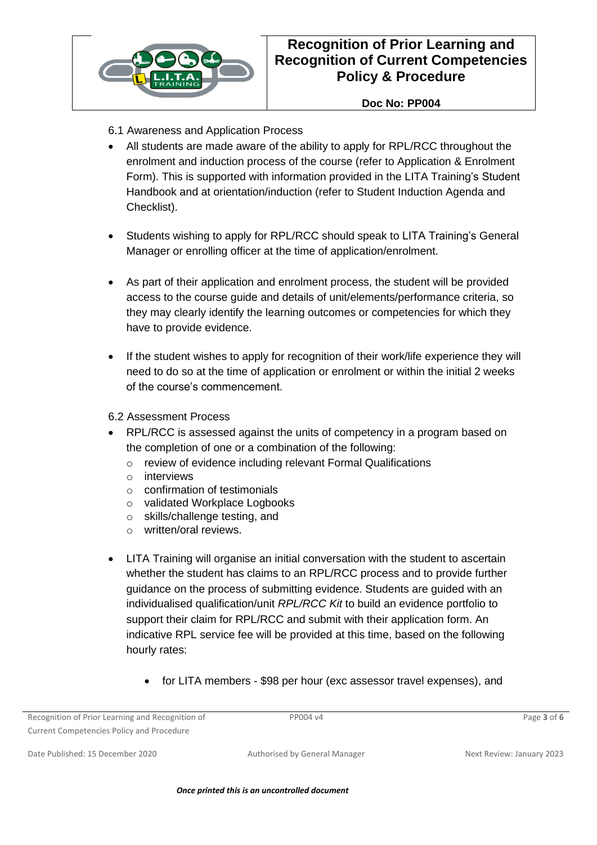

### **Doc No: PP004**

- 6.1 Awareness and Application Process
- All students are made aware of the ability to apply for RPL/RCC throughout the enrolment and induction process of the course (refer to Application & Enrolment Form). This is supported with information provided in the LITA Training's Student Handbook and at orientation/induction (refer to Student Induction Agenda and Checklist).
- Students wishing to apply for RPL/RCC should speak to LITA Training's General Manager or enrolling officer at the time of application/enrolment.
- As part of their application and enrolment process, the student will be provided access to the course guide and details of unit/elements/performance criteria, so they may clearly identify the learning outcomes or competencies for which they have to provide evidence.
- If the student wishes to apply for recognition of their work/life experience they will need to do so at the time of application or enrolment or within the initial 2 weeks of the course's commencement.
- 6.2 Assessment Process
- RPL/RCC is assessed against the units of competency in a program based on the completion of one or a combination of the following:
	- o review of evidence including relevant Formal Qualifications
	- o interviews
	- o confirmation of testimonials
	- o validated Workplace Logbooks
	- o skills/challenge testing, and
	- o written/oral reviews.
- LITA Training will organise an initial conversation with the student to ascertain whether the student has claims to an RPL/RCC process and to provide further guidance on the process of submitting evidence. Students are guided with an individualised qualification/unit *RPL/RCC Kit* to build an evidence portfolio to support their claim for RPL/RCC and submit with their application form. An indicative RPL service fee will be provided at this time, based on the following hourly rates:
	- for LITA members \$98 per hour (exc assessor travel expenses), and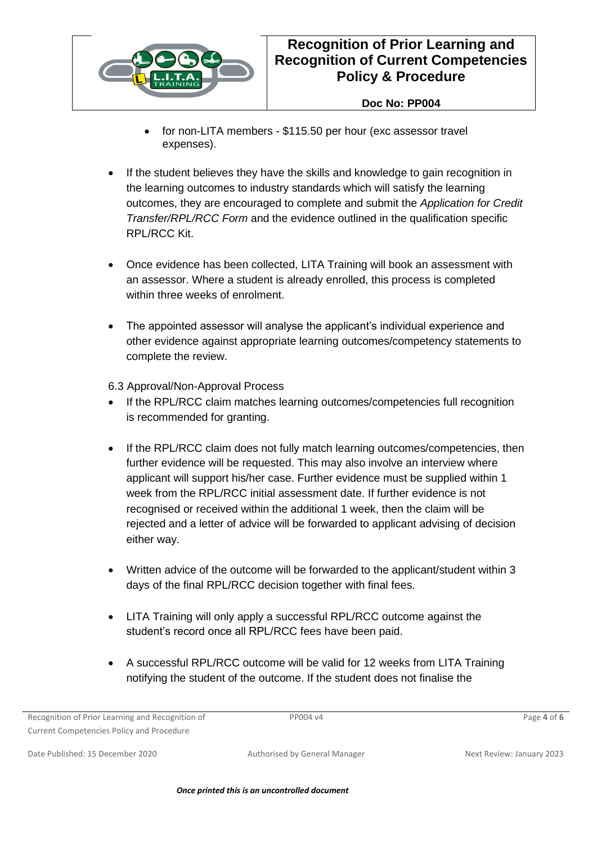

### **Doc No: PP004**

- for non-LITA members \$115.50 per hour (exc assessor travel expenses).
- If the student believes they have the skills and knowledge to gain recognition in the learning outcomes to industry standards which will satisfy the learning outcomes, they are encouraged to complete and submit the *Application for Credit Transfer/RPL/RCC Form* and the evidence outlined in the qualification specific RPL/RCC Kit.
- Once evidence has been collected, LITA Training will book an assessment with an assessor. Where a student is already enrolled, this process is completed within three weeks of enrolment.
- The appointed assessor will analyse the applicant's individual experience and other evidence against appropriate learning outcomes/competency statements to complete the review.

6.3 Approval/Non-Approval Process

- If the RPL/RCC claim matches learning outcomes/competencies full recognition is recommended for granting.
- If the RPL/RCC claim does not fully match learning outcomes/competencies, then further evidence will be requested. This may also involve an interview where applicant will support his/her case. Further evidence must be supplied within 1 week from the RPL/RCC initial assessment date. If further evidence is not recognised or received within the additional 1 week, then the claim will be rejected and a letter of advice will be forwarded to applicant advising of decision either way.
- Written advice of the outcome will be forwarded to the applicant/student within 3 days of the final RPL/RCC decision together with final fees.
- LITA Training will only apply a successful RPL/RCC outcome against the student's record once all RPL/RCC fees have been paid.
- A successful RPL/RCC outcome will be valid for 12 weeks from LITA Training notifying the student of the outcome. If the student does not finalise the

Recognition of Prior Learning and Recognition of Current Competencies Policy and Procedure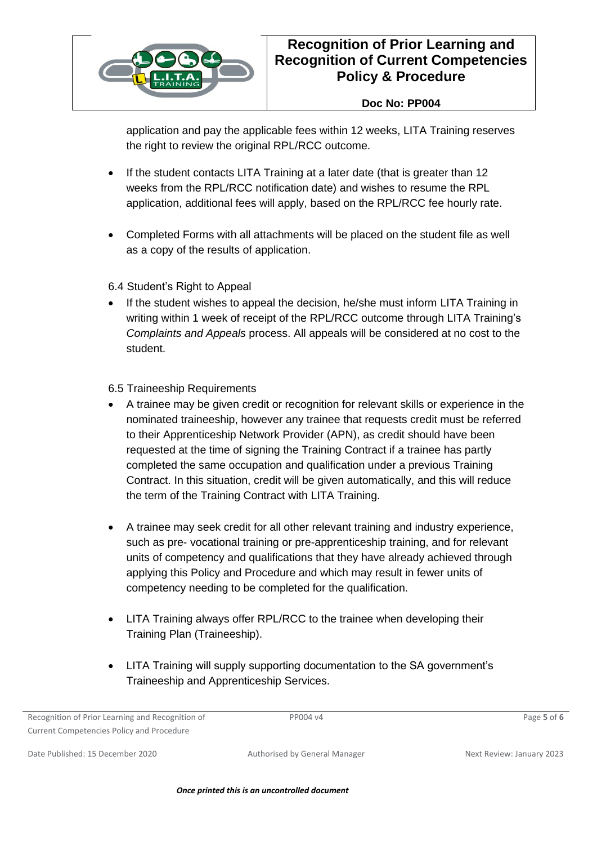

### **Doc No: PP004**

application and pay the applicable fees within 12 weeks, LITA Training reserves the right to review the original RPL/RCC outcome.

- If the student contacts LITA Training at a later date (that is greater than 12 weeks from the RPL/RCC notification date) and wishes to resume the RPL application, additional fees will apply, based on the RPL/RCC fee hourly rate.
- Completed Forms with all attachments will be placed on the student file as well as a copy of the results of application.
- 6.4 Student's Right to Appeal
- If the student wishes to appeal the decision, he/she must inform LITA Training in writing within 1 week of receipt of the RPL/RCC outcome through LITA Training's *Complaints and Appeals* process. All appeals will be considered at no cost to the student.

#### 6.5 Traineeship Requirements

- A trainee may be given credit or recognition for relevant skills or experience in the nominated traineeship, however any trainee that requests credit must be referred to their Apprenticeship Network Provider (APN), as credit should have been requested at the time of signing the Training Contract if a trainee has partly completed the same occupation and qualification under a previous Training Contract. In this situation, credit will be given automatically, and this will reduce the term of the Training Contract with LITA Training.
- A trainee may seek credit for all other relevant training and industry experience, such as pre- vocational training or pre-apprenticeship training, and for relevant units of competency and qualifications that they have already achieved through applying this Policy and Procedure and which may result in fewer units of competency needing to be completed for the qualification.
- LITA Training always offer RPL/RCC to the trainee when developing their Training Plan (Traineeship).
- LITA Training will supply supporting documentation to the SA government's Traineeship and Apprenticeship Services.

Recognition of Prior Learning and Recognition of Current Competencies Policy and Procedure

PP004 v4 Page **5** of **6**